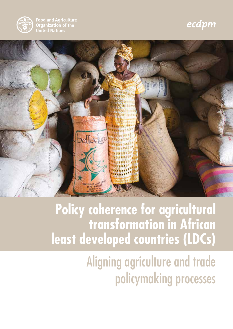

**Food and Agriculture Organization of the United Nations** 

### ecdpm



### **Policy coherence for agricultural transformation in African least developed countries (LDCs)**

## Aligning agriculture and trade policymaking processes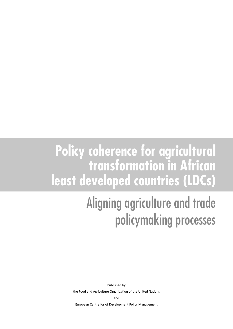### **Policy coherence for agricultural transformation in African least developed countries (LDCs)**

## Aligning agriculture and trade policymaking processes

Published by

the Food and Agriculture Organization of the United Nations

and

European Centre for of Development Policy Management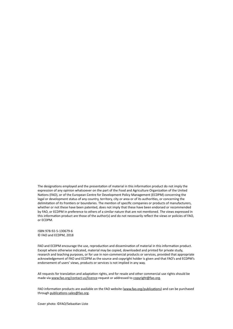The designations employed and the presentation of material in this information product do not imply the expression of any opinion whatsoever on the part of the Food and Agriculture Organization of the United Nations (FAO), or of the European Centre for Development Policy Management (ECDPM) concerning the legal or development status of any country, territory, city or area or of its authorities, or concerning the delimitation of its frontiers or boundaries. The mention of specific companies or products of manufacturers, whether or not these have been patented, does not imply that these have been endorsed or recommended by FAO, or ECDPM in preference to others of a similar nature that are not mentioned. The views expressed in this information product are those of the author(s) and do not necessarily reflect the views or policies of FAO, or ECDPM.

ISBN 978-92-5-130679-6 © FAO and ECDPM, 2018

FAO and ECDPM encourage the use, reproduction and dissemination of material in this information product. Except where otherwise indicated, material may be copied, downloaded and printed for private study, research and teaching purposes, or for use in non-commercial products or services, provided that appropriate acknowledgement of FAO and ECDPM as the source and copyright holder is given and that FAO's and ECDPM's endorsement of users' views, products or services is not implied in any way.

All requests for translation and adaptation rights, and for resale and other commercial use rights should be made via www.fao.org/contact-us/licence-request or addressed to copyright@fao.org.

FAO information products are available on the FAO website (www.fao.org/publications) and can be purchased through publications-sales@fao.org.

Cover photo: ©FAO/Sebastian Liste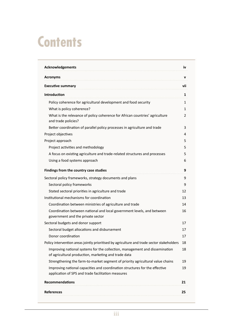## **Contents**

| Acknowledgements                                                                                                                    | iv          |  |  |  |
|-------------------------------------------------------------------------------------------------------------------------------------|-------------|--|--|--|
| <b>Acronyms</b>                                                                                                                     | $\mathbf v$ |  |  |  |
| <b>Executive summary</b>                                                                                                            | vii         |  |  |  |
| <b>Introduction</b>                                                                                                                 | 1           |  |  |  |
| Policy coherence for agricultural development and food security                                                                     | 1           |  |  |  |
| What is policy coherence?                                                                                                           | 1           |  |  |  |
| What is the relevance of policy coherence for African countries' agriculture<br>and trade policies?                                 | 2           |  |  |  |
| Better coordination of parallel policy processes in agriculture and trade                                                           |             |  |  |  |
| Project objectives                                                                                                                  | 4           |  |  |  |
| Project approach                                                                                                                    | 5           |  |  |  |
| Project activities and methodology                                                                                                  | 5           |  |  |  |
| A focus on existing agriculture and trade-related structures and processes                                                          | 5           |  |  |  |
| Using a food systems approach                                                                                                       | 6           |  |  |  |
| Findings from the country case studies                                                                                              | 9           |  |  |  |
| Sectoral policy frameworks, strategy documents and plans                                                                            | 9           |  |  |  |
| Sectoral policy frameworks                                                                                                          | 9           |  |  |  |
| Stated sectoral priorities in agriculture and trade                                                                                 | 12          |  |  |  |
| Institutional mechanisms for coordination                                                                                           | 13          |  |  |  |
| Coordination between ministries of agriculture and trade                                                                            | 14          |  |  |  |
| Coordination between national and local government levels, and between<br>government and the private sector                         | 16          |  |  |  |
| Sectoral budgets and donor support                                                                                                  | 17          |  |  |  |
| Sectoral budget allocations and disbursement                                                                                        | 17          |  |  |  |
| Donor coordination                                                                                                                  | 17          |  |  |  |
| Policy intervention areas jointly prioritised by agriculture and trade sector stakeholders                                          | 18          |  |  |  |
| Improving national systems for the collection, management and dissemination<br>of agricultural production, marketing and trade data | 18          |  |  |  |
| Strengthening the farm-to-market segment of priority agricultural value chains                                                      | 19          |  |  |  |
| Improving national capacities and coordination structures for the effective<br>application of SPS and trade facilitation measures   | 19          |  |  |  |
| <b>Recommendations</b>                                                                                                              | 21          |  |  |  |
| <b>References</b>                                                                                                                   | 25          |  |  |  |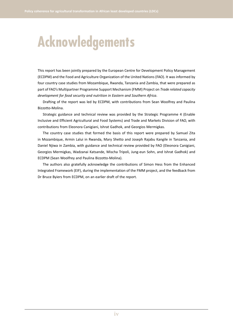## **Acknowledgements**

This report has been jointly prepared by the European Centre for Development Policy Management (ECDPM) and the Food and Agriculture Organization of the United Nations (FAO). It was informed by four country case studies from Mozambique, Rwanda, Tanzania and Zambia, that were prepared as part of FAO's Multipartner Programme Support Mechanism (FMM) Project on *Trade related capacity development for food security and nutrition in Eastern and Southern Africa*.

Drafting of the report was led by ECDPM, with contributions from Sean Woolfrey and Paulina Bizzotto-Molina.

Strategic guidance and technical review was provided by the Strategic Programme 4 (Enable Inclusive and Efficient Agricultural and Food Systems) and Trade and Markets Division of FAO, with contributions from Eleonora Canigiani, Ishrat Gadhok, and Georgios Mermigkas.

The country case studies that formed the basis of this report were prepared by Samuel Zita in Mozambique, Armin Lalui in Rwanda, Mary Shetto and Joseph Rajabu Kangile in Tanzania, and Daniel Njiwa in Zambia, with guidance and technical review provided by FAO (Eleonora Canigiani, Georgios Mermigkas, Wadzanai Katsande, Mischa Tripoli, Jung-eun Sohn, and Ishrat Gadhok) and ECDPM (Sean Woolfrey and Paulina Bizzotto-Molina).

The authors also gratefully acknowledge the contributions of Simon Hess from the Enhanced Integrated Framework (EIF), during the implementation of the FMM project, and the feedback from Dr Bruce Byiers from ECDPM, on an earlier draft of the report.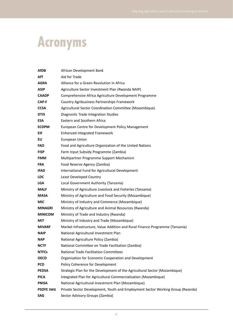# **Acronyms**

| AfDB             | African Development Bank                                                       |  |  |  |  |  |
|------------------|--------------------------------------------------------------------------------|--|--|--|--|--|
| AfT              | Aid for Trade                                                                  |  |  |  |  |  |
| <b>AGRA</b>      | Alliance for a Green Revolution in Africa                                      |  |  |  |  |  |
| <b>ASIP</b>      | Agriculture Sector Investment Plan (Rwanda NAIP)                               |  |  |  |  |  |
| <b>CAADP</b>     | Comprehensive Africa Agriculture Development Programme                         |  |  |  |  |  |
| CAP-F            | Country Agribusiness Partnerships Framework                                    |  |  |  |  |  |
| <b>CCSA</b>      | Agricultural Sector Coordination Committee (Mozambique)                        |  |  |  |  |  |
| <b>DTIS</b>      | Diagnostic Trade Integration Studies                                           |  |  |  |  |  |
| <b>ESA</b>       | Eastern and Southern Africa                                                    |  |  |  |  |  |
| <b>ECDPM</b>     | European Centre for Development Policy Management                              |  |  |  |  |  |
| EIF              | <b>Enhanced Integrated Framework</b>                                           |  |  |  |  |  |
| EU               | European Union                                                                 |  |  |  |  |  |
| <b>FAO</b>       | Food and Agriculture Organization of the United Nations                        |  |  |  |  |  |
| <b>FISP</b>      | Farm Input Subsidy Programme (Zambia)                                          |  |  |  |  |  |
| <b>FMM</b>       | Multipartner Programme Support Mechanism                                       |  |  |  |  |  |
| <b>FRA</b>       | Food Reserve Agency (Zambia)                                                   |  |  |  |  |  |
| <b>IFAD</b>      | International Fund for Agricultural Development                                |  |  |  |  |  |
| <b>LDC</b>       | Least Developed Country                                                        |  |  |  |  |  |
| <b>LGA</b>       | Local Government Authority (Tanzania)                                          |  |  |  |  |  |
| <b>MALF</b>      | Ministry of Agriculture Livestock and Fisheries (Tanzania)                     |  |  |  |  |  |
| <b>MASA</b>      | Ministry of Agriculture and Food Security (Mozambique)                         |  |  |  |  |  |
| <b>MIC</b>       | Ministry of Industry and Commerce (Mozambique)                                 |  |  |  |  |  |
| <b>MINAGRI</b>   | Ministry of Agriculture and Animal Resources (Rwanda)                          |  |  |  |  |  |
| <b>MINICOM</b>   | Ministry of Trade and Industry (Rwanda)                                        |  |  |  |  |  |
| <b>MIT</b>       | Ministry of Industry and Trade (Mozambique)                                    |  |  |  |  |  |
| <b>MIVARF</b>    | Market Infrastructure, Value Addition and Rural Finance Programme (Tanzania)   |  |  |  |  |  |
| <b>NAIP</b>      | National Agricultural Investment Plan                                          |  |  |  |  |  |
| <b>NAP</b>       | National Agriculture Policy (Zambia)                                           |  |  |  |  |  |
| <b>NCTF</b>      | National Committee on Trade Facilitation (Zambia)                              |  |  |  |  |  |
| <b>NTFCs</b>     | <b>National Trade Facilitation Committees</b>                                  |  |  |  |  |  |
| <b>OECD</b>      | Organisation for Economic Cooperation and Development                          |  |  |  |  |  |
| <b>PCD</b>       | Policy Coherence for Development                                               |  |  |  |  |  |
| <b>PEDSA</b>     | Strategic Plan for the Development of the Agricultural Sector (Mozambique)     |  |  |  |  |  |
| <b>PICA</b>      | Integrated Plan for Agricultural Commercialisation (Mozambique)                |  |  |  |  |  |
| <b>PNISA</b>     | National Agricultural Investment Plan (Mozambique)                             |  |  |  |  |  |
| <b>PSDYE SWG</b> | Private Sector Development, Youth and Employment Sector Working Group (Rwanda) |  |  |  |  |  |
| SAG              | Sector Advisory Groups (Zambia)                                                |  |  |  |  |  |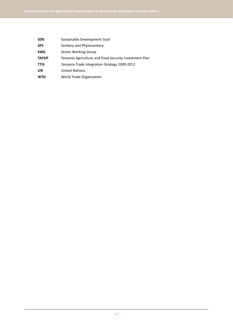| <b>SDG</b>    | Sustainable Development Goal                           |  |  |  |  |
|---------------|--------------------------------------------------------|--|--|--|--|
| <b>SPS</b>    | Sanitary and Phytosanitary                             |  |  |  |  |
| <b>SWG</b>    | Sector Working Group                                   |  |  |  |  |
| <b>TAFSIP</b> | Tanzania Agriculture and Food Security Investment Plan |  |  |  |  |
| <b>TTIS</b>   | Tanzania Trade Integration Strategy 2009-2013          |  |  |  |  |
| UN            | <b>United Nations</b>                                  |  |  |  |  |
| <b>WTO</b>    | World Trade Organisation                               |  |  |  |  |
|               |                                                        |  |  |  |  |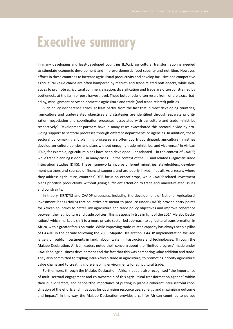### **Executive summary**

In many developing and least-developed countries (LDCs), agricultural transformation is needed to stimulate economic development and improve domestic food security and nutrition. However, efforts in these countries to increase agricultural productivity and develop inclusive and competitive agricultural value chains are often hampered by market- and trade-related bottlenecks, while initiatives to promote agricultural commercialisation, diversification and trade are often constrained by bottlenecks at the farm or post-harvest level. These bottlenecks often result from, or are exacerbated by, misalignment between domestic agriculture and trade (and trade-related) policies.

Such policy incoherence arises, at least partly, from the fact that in most developing countries, "agriculture and trade-related objectives and strategies are identified through separate prioritization, negotiation and coordination processes, associated with agriculture and trade ministries respectively". Development partners have in many cases exacerbated this sectoral divide by providing support to sectoral processes through different departments or agencies. In addition, these sectoral policymaking and planning processes are often poorly coordinated: agriculture ministries develop agriculture policies and plans without engaging trade ministries, and vice versa.<sup>2</sup> In African LDCs, for example, agriculture plans have been developed – or adapted – in the context of CAADP, while trade planning is done – in many cases – in the context of the EIF and related Diagnostic Trade Integration Studies (DTIS). These frameworks involve different ministries, stakeholders, development partners and sources of financial support, and are poorly linked, if at all. As a result, where they address agriculture, countries' DTIS focus on export crops, while CAADP-related investment plans prioritise productivity, without giving sufficient attention to trade and market-related issues and constraints.

In theory, EIF/DTIS and CAADP processes, including the development of National Agricultural Investment Plans (NAIPs) that countries are meant to produce under CAADP, provide entry points for African countries to better link agriculture and trade policy objectives and improve coherence between their agriculture and trade policies. This is especially true in light of the 2014 Malabo Declaration,<sup>3</sup> which marked a shift to a more private sector-led approach to agricultural transformation in Africa, with a greater focus on trade. While improving trade-related capacity has always been a pillar of CAADP, in the decade following the 2003 Maputo Declaration, CAADP implementation focused largely on public investments in land, labour, water, infrastructure and technologies. Through the Malabo Declaration, African leaders noted their concern about the "limited progress" made under CAADP on agribusiness development and the fact that this was hampering value addition and trade. They also committed to tripling intra-African trade in agriculture, to promoting priority agricultural value chains and to creating more enabling environments for agricultural trade.

Furthermore, through the Malabo Declaration, African leaders also recognised "the importance of multi-sectoral engagement and co-ownership of this agricultural transformation agenda" within their public sectors, and hence "the importance of putting in place a coherent inter-sectoral coordination of the efforts and initiatives for optimising resource use, synergy and maximising outcome and impact". In this way, the Malabo Declaration provides a call for African countries to pursue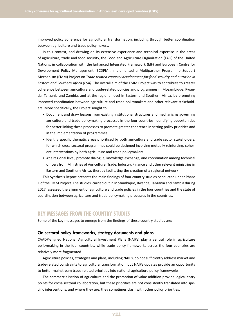improved policy coherence for agricultural transformation, including through better coordination between agriculture and trade policymakers.

In this context, and drawing on its extensive experience and technical expertise in the areas of agriculture, trade and food security, the Food and Agriculture Organization (FAO) of the United Nations, in collaboration with the Enhanced Integrated Framework (EIF) and European Centre for Development Policy Management (ECDPM), implemented a Multipartner Programme Support Mechanism (FMM) Project on *Trade related capacity development for food security and nutrition in Eastern and Southern Africa (ESA)*. The overall aim of the FMM Project was to contribute to greater coherence between agriculture and trade-related policies and programmes in Mozambique, Rwanda, Tanzania and Zambia, and at the regional level in Eastern and Southern Africa, by promoting improved coordination between agriculture and trade policymakers and other relevant stakeholders. More specifically, the Project sought to:

- Document and draw lessons from existing institutional structures and mechanisms governing agriculture and trade policymaking processes in the four countries, identifying opportunities for better linking these processes to promote greater coherence in setting policy priorities and in the implementation of programmes
- Identify specific thematic areas prioritised by both agriculture and trade sector stakeholders, for which cross-sectoral programmes could be designed involving mutually reinforcing, coherent interventions by both agriculture and trade policymakers
- At a regional level, promote dialogue, knowledge exchange, and coordination among technical officers from Ministries of Agriculture, Trade, Industry, Finance and other relevant ministries in Eastern and Southern Africa, thereby facilitating the creation of a regional network

This Synthesis Report presents the main findings of four country studies conducted under Phase 1 of the FMM Project. The studies, carried out in Mozambique, Rwanda, Tanzania and Zambia during 2017, assessed the alignment of agriculture and trade policies in the four countries and the state of coordination between agriculture and trade policymaking processes in the countries.

#### **KEY MESSAGES FROM THE COUNTRY STUDIES**

Some of the key messages to emerge from the findings of these country studies are:

#### On sectoral policy frameworks, strategy documents and plans

CAADP-aligned National Agricultural Investment Plans (NAIPs) play a central role in agriculture policymaking in the four countries, while trade policy frameworks across the four countries are relatively more fragmented.

Agriculture policies, strategies and plans, including NAIPs, do not sufficiently address market and trade-related constraints to agricultural transformation, but NAIPs updates provide an opportunity to better mainstream trade-related priorities into national agriculture policy frameworks.

The commercialisation of agriculture and the promotion of value addition provide logical entry points for cross-sectoral collaboration, but these priorities are not consistently translated into specific interventions, and where they are, they sometimes clash with other policy priorities.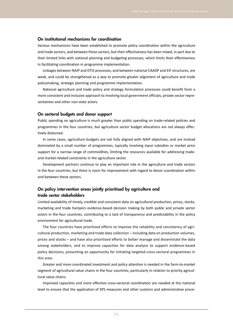#### On institutional mechanisms for coordination

Various mechanisms have been established to promote policy coordination within the agriculture and trade sectors, and between these sectors, but their effectiveness has been mixed, in part due to their limited links with national planning and budgeting processes, which limits their effectiveness in facilitating coordination in programme implementation.

Linkages between NAIP and DTIS processes, and between national CAADP and EIF structures, are weak, and could be strengthened as a way to promote greater alignment of agriculture and trade policymaking, strategic planning and programme implementation.

National agriculture and trade policy and strategy formulation processes could benefit from a more consistent and inclusive approach to involving local government officials, private sector representatives and other non-state actors.

#### On sectoral budgets and donor support

Public spending on agriculture is much greater than public spending on trade-related policies and programmes in the four countries, but agriculture sector budget allocations are not always effectively disbursed.

In some cases, agriculture budgets are not fully aligned with NAIP objectives, and are instead dominated by a small number of programmes, typically involving input subsidies or market price support for a narrow range of commodities, limiting the resources available for addressing tradeand market-related constraints in the agriculture sector.

Development partners continue to play an important role in the agriculture and trade sectors in the four countries, but there is room for improvement with regard to donor coordination within and between these sectors.

#### On policy intervention areas jointly prioritised by agriculture and trade sector stakeholders

Limited availability of timely, credible and consistent data on agricultural production, prices, stocks, marketing and trade hampers evidence-based decision making by both public and private sector actors in the four countries, contributing to a lack of transparency and predictability in the policy environment for agricultural trade.

The four countries have prioritised efforts to improve the reliability and consistency of agricultural production, marketing and trade data collection – including data on production volumes, prices and stocks – and have also prioritised efforts to better manage and disseminate the data among stakeholders, and to improve capacities for data analysis to support evidence-based policy decisions, presenting an opportunity for initiating targeted cross-sectoral programmes in this area.

Greater and more coordinated investment and policy attention is needed in the farm-to-market segment of agricultural value chains in the four countries, particularly in relation to priority agricultural value chains.

Improved capacities and more effective cross-sectoral coordination are needed at the national level to ensure that the application of SPS measures and other customs and administrative proce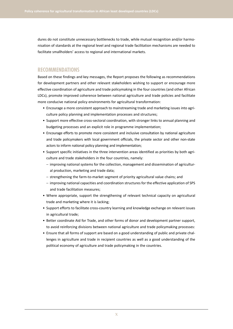dures do not constitute unnecessary bottlenecks to trade, while mutual recognition and/or harmonisation of standards at the regional level and regional trade facilitation mechanisms are needed to facilitate smallholders' access to regional and international markets.

#### **RECOMMENDATIONS**

Based on these findings and key messages, the Report proposes the following as recommendations for development partners and other relevant stakeholders wishing to support or encourage more effective coordination of agriculture and trade policymaking in the four countries (and other African LDCs), promote improved coherence between national agriculture and trade policies and facilitate more conducive national policy environments for agricultural transformation:

- Encourage a more consistent approach to mainstreaming trade and marketing issues into agriculture policy planning and implementation processes and structures;
- Support more effective cross-sectoral coordination, with stronger links to annual planning and budgeting processes and an explicit role in programme implementation;
- Encourage efforts to promote more consistent and inclusive consultation by national agriculture and trade policymakers with local government officials, the private sector and other non-state actors to inform national policy planning and implementation;
- Support specific initiatives in the three intervention areas identified as priorities by both agriculture and trade stakeholders in the four countries, namely:
	- improving national systems for the collection, management and dissemination of agricultural production, marketing and trade data;
	- strengthening the farm-to-market segment of priority agricultural value chains; and
	- improving national capacities and coordination structures for the effective application of SPS and trade facilitation measures;
- Where appropriate, support the strengthening of relevant technical capacity on agricultural trade and marketing where it is lacking;
- Support efforts to facilitate cross-country learning and knowledge exchange on relevant issues in agricultural trade;
- Better coordinate Aid for Trade, and other forms of donor and development partner support, to avoid reinforcing divisions between national agriculture and trade policymaking processes:
- Ensure that all forms of support are based on a good understanding of public and private challenges in agriculture and trade in recipient countries as well as a good understanding of the political economy of agriculture and trade policymaking in the countries.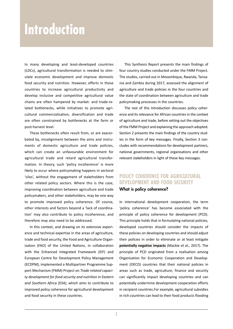### **Introduction**

In many developing and least-developed countries (LDCs), agricultural transformation is needed to stimulate economic development and improve domestic food security and nutrition. However, efforts in these countries to increase agricultural productivity and develop inclusive and competitive agricultural value chains are often hampered by market- and trade-related bottlenecks, while initiatives to promote agricultural commercialisation, diversification and trade are often constrained by bottlenecks at the farm or post-harvest level.

These bottlenecks often result from, or are exacerbated by, misalignment between the aims and instruments of domestic agriculture and trade policies, which can create an unfavourable environment for agricultural trade and retard agricultural transformation. In theory, such 'policy incoherence' is more likely to occur where policymaking happens in sectoral 'silos', without the engagement of stakeholders from other related policy sectors. Where this is the case, improving coordination between agriculture and trade policymakers, and other stakeholders, may be one way to promote improved policy coherence. Of course, other interests and factors beyond a 'lack of coordination' may also contribute to policy incoherence, and therefore may also need to be addressed.

In this context, and drawing on its extensive experience and technical expertise in the areas of agriculture, trade and food security, the Food and Agriculture Organization (FAO) of the United Nations, in collaboration with the Enhanced Integrated Framework (EIF) and European Centre for Development Policy Management (ECDPM), implemented a Multipartner Programme Support Mechanism (FMM) Project on *Trade related capacity development for food security and nutrition in Eastern and Southern Africa (ESA)*, which aims to contribute to improved policy coherence for agricultural development and food security in these countries.

This Synthesis Report presents the main findings of four country studies conducted under the FMM Project. The studies, carried out in Mozambique, Rwanda, Tanzania and Zambia during 2017, assessed the alignment of agriculture and trade policies in the four countries and the state of coordination between agriculture and trade policymaking processes in the countries.

The rest of this Introduction discusses policy coherence and its relevance for African countries in the context of agriculture and trade, before setting out the objectives of the FMM Project and explaining the approach adopted. Section 2 presents the main findings of the country studies in the form of key messages. Finally, Section 3 concludes with recommendations for development partners, national governments, regional organisations and other relevant stakeholders in light of these key messages.

#### **POLICY COHERENCE FOR AGRICULTURAL DEVELOPMENT AND FOOD SECURITY**

#### What is policy coherence?

In international development cooperation, the term 'policy coherence' has become associated with the principle of policy coherence for development (PCD). This principle holds that in formulating national policies, developed countries should consider the impacts of these policies on developing countries and should adjust their policies in order to eliminate or at least mitigate **potentially negative impacts** (Mackie *et al.,* 2017). The principle of PCD originated from a realisation among Organisation for Economic Cooperation and Development (OECD) countries that their national policies in areas such as trade, agriculture, finance and security can significantly impact developing countries and can potentially undermine development cooperation efforts in recipient countries.For example, agricultural subsidies in rich countries can lead to their food products flooding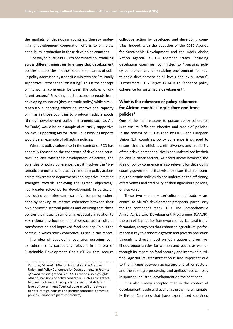the markets of developing countries, thereby undermining development cooperation efforts to stimulate agricultural production in those developing countries.

One way to pursue PCD is to coordinate policymaking across different ministries to ensure that development policies and policies in other 'sectors' (i.e. areas of public policy addressed by a specific ministry) are "mutually supportive" rather than "offsetting". This is the concept of 'horizontal coherence' between the policies of different sectors.<sup>1</sup> Providing market access to goods from developing countries (through trade policy) while simultaneously supporting efforts to improve the capacity of firms in those countries to produce tradable goods (through development policy instruments such as Aid for Trade) would be an example of mutually supportive policies. Supporting Aid for Trade while blocking imports would be an example of offsetting policies.

Whereas policy coherence in the context of PCD has generally focused on the coherence of developed countries' policies with their development objectives, the core idea of policy coherence, that it involves the "systematic promotion of mutually reinforcing policy actions across government departments and agencies, creating synergies towards achieving the agreed objectives," has broader relevance for development. In particular, developing countries can also strive for policy coherence by seeking to improve coherence between their own domestic sectoral policies and ensuring that these policies are mutually reinforcing, especially in relation to key national development objectives such as agricultural transformation and improved food security. This is the context in which policy coherence is used in this report.

The idea of developing countries pursuing policy coherence is particularly relevant in the era of Sustainable Development Goals (SDGs) that require collective action by developed and developing countries. Indeed, with the adoption of the 2030 Agenda for Sustainable Development and the Addis Ababa Action Agenda, all UN Member States, including developing countries, committed to "pursuing policy coherence and an enabling environment for sustainable development at all levels and by all actors". Furthermore, SDG Target 17.14 is to "enhance policy coherence for sustainable development".

#### What is the relevance of policy coherence for African countries' agriculture and trade policies?

One of the main reasons to pursue policy coherence is to ensure "efficient, effective and credible" policies. In the context of PCD as used by OECD and European Union (EU) countries, policy coherence is pursued to ensure that the efficiency, effectiveness and credibility of their development policies is not undermined by their policies in other sectors. As noted above however, the idea of policy coherence is also relevant for developing country governments that wish to ensure that, for example, their trade policies do not undermine the efficiency, effectiveness and credibility of their agriculture policies, or vice versa.

These two sectors  $-$  agriculture and trade  $-$  are central to Africa's development prospects, particularly for the continent's many LDCs. The Comprehensive Africa Agriculture Development Programme (CAADP), the pan-African policy framework for agricultural transformation, recognises that enhanced agricultural performance is key to economic growth and poverty reduction through its direct impact on job creation and on livelihood opportunities for women and youth, as well as through its impact on food security and improved nutrition. Agricultural transformation is also important due to the linkages between agriculture and other sectors, and the role agro-processing and agribusiness can play in spurring industrial development on the continent.

It is also widely accepted that in the context of development, trade and economic growth are intimately linked. Countries that have experienced sustained

Carbone, M. 2008. 'Mission Impossible: the European Union and Policy Coherence for Development,' in *Journal of European Integration,* Vol. 30. Carbone also highlights other dimensions of policy coherence, such as coherence between policies within a particular sector at different levels of government ('vertical coherence') or between donors' foreign policies and partner countries' domestic policies ('donor-recipient coherence').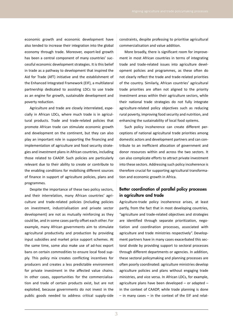economic growth and economic development have also tended to increase their integration into the global economy through trade. Moreover, export-led growth has been a central component of many countries' successful economic development strategies. It is this belief in trade as a pathway to development that inspired the Aid for Trade (AfT) initiative and the establishment of the Enhanced Integrated Framework (EIF), a multilateral partnership dedicated to assisting LDCs to use trade as an engine for growth, sustainable development and poverty reduction.

Agriculture and trade are closely interrelated, especially in African LDCs, where much trade is in agricultural products. Trade and trade-related policies that promote African trade can stimulate economic growth and development on the continent, but they can also play an important role in supporting the financing and implementation of agriculture and food security strategies and investment plans in African countries, including those related to CAADP. Such policies are particularly relevant due to their ability to create or contribute to the enabling conditions for mobilising different sources of finance in support of agriculture policies, plans and programmes.

Despite the importance of these two policy sectors, and their interrelation, many African countries' agriculture and trade-related policies (including policies on investment, industrialisation and private sector development) are not as mutually reinforcing as they could be, and in some cases partly offset each other. For example, many African governments aim to stimulate agricultural productivity and production by providing input subsidies and market price support schemes. At the same time, some also make use of ad-hoc export bans on certain commodities to ensure local food supply. This policy mix creates conflicting incentives for producers and creates a less predictable environment for private investment in the affected value chains. In other cases, opportunities for the commercialisation and trade of certain products exist, but are not exploited, because governments do not invest in the public goods needed to address critical supply-side constraints, despite professing to prioritise agricultural commercialisation and value addition.

More broadly, there is significant room for improvement in most African countries in terms of integrating trade and trade-related issues into agriculture development policies and programmes, as these often do not clearly reflect the trade and trade-related priorities of the country. Similarly, African countries' agricultural trade priorities are often not aligned to the priority investment areas within their agriculture sectors, while their national trade strategies do not fully integrate agriculture-related policy objectives such as reducing rural poverty, improving food security and nutrition, and enhancing the sustainability of local food systems.

Such policy incoherence can create different perceptions of national agricultural trade priorities among domestic actors and development partners and can contribute to an inefficient allocation of government and donor resources within and across the two sectors. It can also complicate efforts to attract private investment into these sectors. Addressing such policy incoherence is therefore crucial for supporting agricultural transformation and economic growth in Africa.

#### Better coordination of parallel policy processes in agriculture and trade

Agriculture-trade policy incoherence arises, at least partly, from the fact that in most developing countries, "agriculture and trade-related objectives and strategies are identified through separate prioritization, negotiation and coordination processes, associated with agriculture and trade ministries respectively". Development partners have in many cases exacerbated this sectoral divide by providing support to sectoral processes through different departments or agencies. In addition, these sectoral policymaking and planning processes are often poorly coordinated: agriculture ministries develop agriculture policies and plans without engaging trade ministries, and vice versa. In African LDCs, for example, agriculture plans have been developed – or adapted – in the context of CAADP, while trade planning is done – in many cases – in the context of the EIF and relat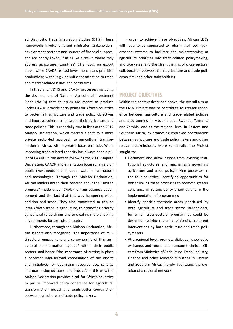ed Diagnostic Trade Integration Studies (DTIS). These frameworks involve different ministries, stakeholders, development partners and sources of financial support, and are poorly linked, if at all. As a result, where they address agriculture, countries' DTIS focus on export crops, while CAADP-related investment plans prioritise productivity, without giving sufficient attention to trade and market-related issues and constraints.

In theory, EIF/DTIS and CAADP processes, including the development of National Agricultural Investment Plans (NAIPs) that countries are meant to produce under CAADP, provide entry points for African countries to better link agriculture and trade policy objectives and improve coherence between their agriculture and trade policies. This is especially true in light of the 2014 Malabo Declaration, which marked a shift to a more private sector-led approach to agricultural transformation in Africa, with a greater focus on trade. While improving trade-related capacity has always been a pillar of CAADP, in the decade following the 2003 Maputo Declaration, CAADP implementation focused largely on public investments in land, labour, water, infrastructure and technologies. Through the Malabo Declaration, African leaders noted their concern about the "limited progress" made under CAADP on agribusiness development and the fact that this was hampering value addition and trade. They also committed to tripling intra-African trade in agriculture, to promoting priority agricultural value chains and to creating more enabling environments for agricultural trade.

Furthermore, through the Malabo Declaration, African leaders also recognised "the importance of multi-sectoral engagement and co-ownership of this agricultural transformation agenda" within their public sectors, and hence "the importance of putting in place a coherent inter-sectoral coordination of the efforts and initiatives for optimising resource use, synergy and maximising outcome and impact". In this way, the Malabo Declaration provides a call for African countries to pursue improved policy coherence for agricultural transformation, including through better coordination between agriculture and trade policymakers.

In order to achieve these objectives, African LDCs will need to be supported to reform their own governance systems to facilitate the mainstreaming of agriculture priorities into trade-related policymaking, and vice versa, and the strengthening of cross-sectoral collaboration between their agriculture and trade policymakers (and other stakeholders).

#### **PROJECT OBJECTIVES**

Within the context described above, the overall aim of the FMM Project was to contribute to greater coherence between agriculture and trade-related policies and programmes in Mozambique, Rwanda, Tanzania and Zambia, and at the regional level in Eastern and Southern Africa, by promoting improved coordination between agriculture and trade policymakers and other relevant stakeholders. More specifically, the Project sought to:

- Document and draw lessons from existing institutional structures and mechanisms governing agriculture and trade policymaking processes in the four countries, identifying opportunities for better linking these processes to promote greater coherence in setting policy priorities and in the implementation of programmes
- Identify specific thematic areas prioritised by both agriculture and trade sector stakeholders, for which cross-sectoral programmes could be designed involving mutually reinforcing, coherent interventions by both agriculture and trade policymakers
- At a regional level, promote dialogue, knowledge exchange, and coordination among technical officers from Ministries of Agriculture, Trade, Industry, Finance and other relevant ministries in Eastern and Southern Africa, thereby facilitating the creation of a regional network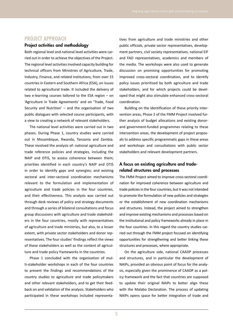#### **PROJECT APPROACH**

#### Project activities and methodology

Both regional level and national level activities were carried out in order to achieve the objectives of the Project. The regional level activities involved capacity building for technical officers from Ministries of Agriculture, Trade, Industry, Finance, and related institutions, from over 15 countries in Eastern and Southern Africa (ESA), on issues related to agricultural trade. It included the delivery of two e-learning courses tailored to the ESA region – on 'Agriculture in Trade Agreements' and on 'Trade, Food Security and Nutrition' – and the organisation of two public dialogues with selected course participants, with a view to creating a network of relevant stakeholders.

The national level activities were carried out in two phases. During Phase 1, country studies were carried out in Mozambique, Rwanda, Tanzania and Zambia. These involved the analysis of: national agriculture and trade reference policies and strategies, including the NAIP and DTIS, to assess coherence between them; priorities identified in each country's NAIP and DTIS in order to identify gaps and synergies; and existing sectoral and inter-sectoral coordination mechanisms relevant to the formulation and implementation of agriculture and trade policies in the four countries, and their effectiveness. This analysis was carried out through desk reviews of policy and strategy documents and through a series of bilateral consultations and focus group discussions with agriculture and trade stakeholders in the four countries, mostly with representatives of agriculture and trade ministries, but also, to a lesser extent, with private sector stakeholders and donor representatives. The four studies' findings reflect the views of these stakeholders as well as the content of agriculture and trade policy frameworks in the countries.

Phase 1 concluded with the organisation of multi-stakeholder workshops in each of the four countries to present the findings and recommendations of the country studies to agriculture and trade policymakers and other relevant stakeholders, and to get their feedback on and validation of the analysis. Stakeholders who participated in these workshops included representatives from agriculture and trade ministries and other public officials, private sector representatives, development partners, civil society representatives, national EIF and FAO representatives, academics and members of the media. The workshops were also used to generate discussion on promising opportunities for promoting improved cross-sectoral coordination, and to identify policy issues prioritised by both agriculture and trade stakeholders, and for which projects could be developed that might also stimulate enhanced cross-sectoral coordination.

Building on the identification of these priority intervention areas, Phase 2 of the FMM Project involved further analysis of budget allocations and existing donorand government-funded programmes relating to these intervention areas, the development of project proposals to address specific programmatic gaps in these areas and workshops and consultations with public sector stakeholders and relevant development partners.

#### A focus on existing agriculture and traderelated structures and processes

The FMM Project aimed to improve cross-sectoral coordination for improved coherence between agriculture and trade policies in the four countries, but it was not intended to promote the formulation of new policies and strategies or the establishment of new coordination mechanisms and structures. Instead, the project aimed to strengthen and improve existing mechanisms and processes based on the institutional and policy frameworks already in place in the four countries. In this regard the country studies carried out through the FMM project focused on identifying opportunities for strengthening and better linking these structures and processes, where appropriate.

On the agriculture side, national CAADP processes and structures, and in particular the development of NAIPs, provided an obvious point of focus for the analysis, especially given the prominence of CAADP as a policy framework and the fact that countries are supposed to update their original NAIPs to better align these with the Malabo Declaration. The process of updating NAIPs opens space for better integration of trade and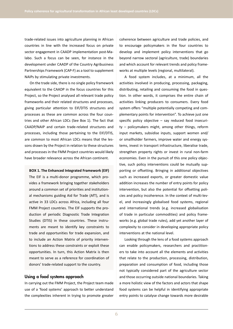trade-related issues into agriculture planning in African countries in line with the increased focus on private sector engagement in CAADP implementation post-Malabo. Such a focus can be seen, for instance in the development under CAADP of the Country Agribusiness Partnerships Framework (CAP-F) as a tool to supplement NAIPs by stimulating private investments.

On the trade side, there is no single policy framework equivalent to the CAADP in the focus countries for this Project, so the Project analysed all relevant trade policy frameworks and their related structures and processes, giving particular attention to EIF/DTIS structures and processes as these are common across the four countries and other African LDCs (See Box 1). The fact that CAADP/NAIP and certain trade-related structures and processes, including those pertaining to the EIF/DTIS, are common to most African LDCs means that the lessons drawn by the Project in relation to these structures and processes in the FMM Project countries would likely have broader relevance across the African continent.

**BOX 1. The Enhanced Integrated Framework (EIF)** The EIF is a multi-donor programme, which provides a framework bringing together stakeholders around a common set of priorities and institutional mechanisms guiding Aid for Trade (AfT), and is active in 33 LDCs across Africa, including all four FMM Project countries. The EIF supports the production of periodic Diagnostic Trade Integration Studies (DTIS) in these countries. These instruments are meant to identify key constraints to trade and opportunities for trade expansion, and to include an Action Matrix of priority interventions to address these constraints or exploit these opportunities. In turn, this Action Matrix is then meant to serve as a reference for coordination of donors' trade-related support to the country.

#### Using a food systems approach

In carrying out the FMM Project, the Project team made use of a 'food systems' approach to better understand the complexities inherent in trying to promote greater coherence between agriculture and trade policies, and to encourage policymakers in the four countries to develop and implement policy interventions that go beyond narrow sectoral (agriculture, trade) boundaries and which account for relevant trends and policy frameworks at multiple levels (regional, multilateral).

A food system includes, at a minimum, all the activities involved in producing, processing, packaging, distributing, retailing and consuming the food in question. In other words, it comprises the entire chain of activities linking producers to consumers. Every food system offers "multiple potentially competing and complementary points for intervention". To achieve just one specific policy objective – say reduced food insecurity – policymakers might, among other things, reform input markets, subsidise inputs, support women and/ or smallholder farmers, improve water and energy systems, invest in transport infrastructure, liberalise trade, strengthen property rights or invest in rural non-farm economies. Even in the pursuit of this one policy objective, such policy interventions could be mutually supporting or offsetting. Bringing in additional objectives such as increased exports, or greater domestic value addition increases the number of entry points for policy intervention, but also the potential for offsetting policies and policy incoherence. In the context of multi-level, and increasingly globalised food systems, regional and international trends (e.g. increased globalisation of trade in particular commodities) and policy frameworks (e.g. global trade rules), add yet another layer of complexity to consider in developing appropriate policy interventions at the national level.

Looking through the lens of a food systems approach can enable policymakers, researchers and practitioners to take into account all the elements and activities that relate to the production, processing, distribution, preparation and consumption of food, including those not typically considered part of the agriculture sector and those occurring outside national boundaries. Taking a more holistic view of the factors and actors that shape food systems can be helpful in identifying appropriate entry points to catalyse change towards more desirable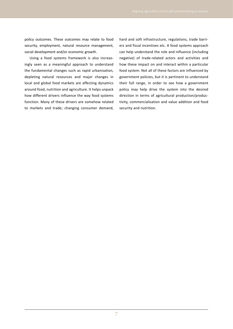policy outcomes. These outcomes may relate to food security, employment, natural resource management, social development and/or economic growth.

Using a food systems framework is also increasingly seen as a meaningful approach to understand the fundamental changes such as rapid urbanisation, depleting natural resources and major changes in local and global food markets are affecting dynamics around food, nutrition and agriculture. It helps unpack how different drivers influence the way food systems function. Many of these drivers are somehow related to markets and trade; changing consumer demand,

hard and soft infrastructure, regulations, trade barriers and fiscal incentives etc. A food systems approach can help understand the role and influence (including negative) of trade-related actors and activities and how these impact on and interact within a particular food system. Not all of these factors are influenced by government policies, but it is pertinent to understand their full range, in order to see how a government policy may help drive the system into the desired direction in terms of agricultural production/productivity, commercialisation and value addition and food security and nutrition.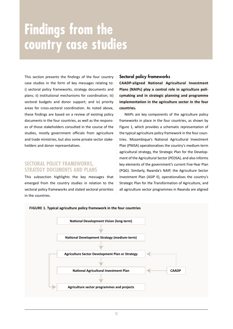## **Findings from the country case studies**

This section presents the findings of the four country case studies in the form of key messages relating to: i) sectoral policy frameworks, strategy documents and plans; ii) institutional mechanisms for coordination; iii) sectoral budgets and donor support; and iv) priority areas for cross-sectoral coordination. As noted above, these findings are based on a review of existing policy documents in the four countries, as well as the responses of those stakeholders consulted in the course of the studies, mostly government officials from agriculture and trade ministries, but also some private sector stakeholders and donor representatives.

#### **SECTORAL POLICY FRAMEWORKS, STRATEGY DOCUMENTS AND PLANS**

This subsection highlights the key messages that emerged from the country studies in relation to the sectoral policy frameworks and stated sectoral priorities in the countries.

#### Sectoral policy frameworks

**CAADP-aligned National Agricultural Investment Plans (NAIPs) play a central role in agriculture policymaking and in strategic planning and programme implementation in the agriculture sector in the four countries.**

NAIPs are key components of the agriculture policy frameworks in place in the four countries, as shown by Figure 1, which provides a schematic representation of the typical agriculture policy framework in the four countries. Mozambique's National Agricultural Investment Plan (PNISA) operationalises the country's medium-term agricultural strategy, the Strategic Plan for the Development of the Agricultural Sector (PEDSA), and also informs key elements of the government's current Five-Year Plan (PQG). Similarly, Rwanda's NAIP, the Agriculture Sector Investment Plan (ASIP II), operationalises the country's Strategic Plan for the Transformation of Agriculture, and all agriculture sector programmes in Rwanda are aligned

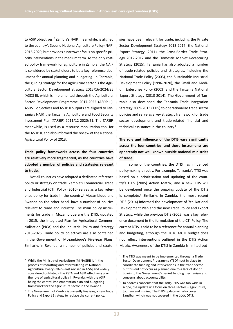to ASIP objectives.<sup>2</sup> Zambia's NAIP, meanwhile, is aligned to the country's Second National Agriculture Policy (NAP) 2016-2020, but provides a narrower focus on specific priority interventions in the medium term. As the only costed policy framework for agriculture in Zambia, the NAIP is considered by stakeholders to be a key reference document for annual planning and budgeting. In Tanzania, the guiding strategy for the agriculture sector is the Agricultural Sector Development Strategy 2015/16-2024/25 (ASDS II), which is implemented through the Agricultural Sector Development Programme 2017-2022 (ASDP II). ASDS II objectives and ASDP II outputs are aligned to Tanzania's NAIP, the Tanzania Agriculture and Food Security Investment Plan (TAFSIP) 2011/12-2020/21. The TAFSIP, meanwhile, is used as a resource mobilization tool for the ASDP II, and also informed the review of the National Agricultural Policy of 2013.

#### **Trade policy frameworks across the four countries are relatively more fragmented, as the countries have adopted a number of policies and strategies relevant to trade.**

Not all countries have adopted a dedicated reference policy or strategy on trade. Zambia's Commercial, Trade and Industrial (CTI) Policy (2010) serves as a key reference policy for trade in the country.<sup>3</sup> Mozambique and Rwanda on the other hand, have a number of policies relevant to trade and industry. The main policy instruments for trade in Mozambique are the DTIS, updated in 2015, the Integrated Plan for Agricultural Commercialisation (PICA) and the Industrial Policy and Strategy 2016-2025. Trade policy objectives are also contained in the Government of Mozambique's Five-Year Plans. Similarly, in Rwanda, a number of policies and strategies have been relevant for trade, including the Private Sector Development Strategy 2013-2017, the National Export Strategy (2011), the Cross-Border Trade Strategy 2012-2017 and the Domestic Market Recapturing Strategy (2015). Tanzania has also adopted a number of trade-related policies and strategies, including the National Trade Policy (2003), the Sustainable Industrial Development Policy (1996-2020), the Small and Medium Enterprise Policy (2003) and the Tanzania National Export Strategy (2010-2014). The Government of Tanzania also developed the Tanzania Trade Integration Strategy 2009-2013 (TTIS) to operationalise trade sector policies and serve as a key strategic framework for trade sector development and trade-related financial and technical assistance in the country.4

#### **The role and influence of the DTIS vary significantly across the four countries, and these instruments are apparently not well known outside national ministries of trade.**

In some of the countries, the DTIS has influenced policymaking directly. For example, Tanzania's TTIS was based on a prioritisation and updating of the country's DTIS (2005) Action Matrix, and a new TTIS will be developed once the ongoing update of the DTIS is complete.<sup>5</sup> Similarly, in Zambia, the most recent DTIS (2014) informed the development of 7th National Development Plan and the new Trade Policy and Export Strategy, while the previous DTIS (2005) was a key reference document in the formulation of the CTI Policy. The current DTIS is said to be a reference for annual planning and budgeting, although the 2016 MCTI budget does not reflect interventions outlined in the DTIS Action Matrix. Awareness of the DTIS in Zambia is limited out-

<sup>&</sup>lt;sup>2</sup> While the Ministry of Agriculture (MINAGRI) is in the process of redrafting and reformulating its National Agricultural Policy (NAP) - last revised in 2004 and widely considered outdated - the PSTA and ASIP, effectively play the role of agricultural policy in Rwanda, with the ASIP being the central implementation plan and budgeting framework for the agriculture sector in the Rwanda.

 $3$  The Government of Zambia is currently finalising a new Trade Policy and Export Strategy to replace the current policy.

<sup>4</sup> The TTIS was meant to be implemented through a Trade Sector Development Programme (TSDP) put in place to coordinate funding and interventions in the trade sector, but this did not occur as planned due to a lack of donor buy-in to the Government's basket funding mechanism and concerns about accountability.

<sup>5</sup> To address concerns that the 2005 DTIS was too wide in scope, the update will focus on three sectors – agriculture, tourism and mining. The DTIS update will also cover Zanzibar, which was not covered in the 2005 DTIS.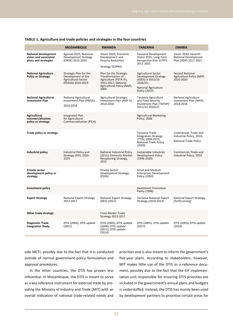|                                                                              | <b>MOZAMBIQUE</b>                                                                               | <b>RWANDA</b>                                                                                                                       | <b>TANZANIA</b>                                                                                                                             | <b>ZAMBIA</b>                                                                     |
|------------------------------------------------------------------------------|-------------------------------------------------------------------------------------------------|-------------------------------------------------------------------------------------------------------------------------------------|---------------------------------------------------------------------------------------------------------------------------------------------|-----------------------------------------------------------------------------------|
| <b>National development</b><br>vision and associated<br>plans and strategies | Agenda 2025; National<br><b>Development Strategy</b><br>(ENDE) 2015-2035                        | Vision 2020; Economic<br>Development and<br><b>Poverty Reduction</b><br>Strategy (EDPRS)                                            | Tanzania Development<br>Vision 2025: Long-Term<br>Perspective Plan (LTPP)<br>2011-2025                                                      | Vision 2030; Seventh<br><b>National Development</b><br>Plan (NDP) 2017-2021       |
| <b>National Agriculture</b><br><b>Policy or Strategy</b>                     | Strategic Plan for the<br>Development of the<br><b>Agricultural Sector</b><br>(PEDSA) 2010-2019 | Plan for the Strategic<br>Transformation of<br>Agriculture (PSTA III),<br>2013-2017; National<br>Agricultural Policy (NAP),<br>2004 | <b>Agricultural Sector</b><br><b>Development Strategy</b><br>(ASDS) II 2015/16-<br>2024/25;<br><b>National Agriculture</b><br>Policy (2013) | <b>Second National</b><br>Agriculture Policy (NAP)<br>2016-2020                   |
| <b>National Agricultural</b><br><b>Investment Plan</b>                       | National Agricultural<br>Investment Plan (PNISA),<br>2014-2018                                  | Agricultural Strategic<br>Investment Plan (ASIP II),<br>2014-2018                                                                   | Tanzania Agriculture<br>and Food Security<br>Investment Plan (TAFSIP)<br>2011/12-2020/21                                                    | <b>National Agriculture</b><br>Investment Plan (NAIP),<br>2014-2018               |
| <b>Agricultural</b><br>commercialisation<br>policy or strategy               | Integrated Plan<br>for Agricultural<br><b>Commercialisation (PICA)</b>                          |                                                                                                                                     | <b>Agricultural Marketing</b><br>Policy, 2008                                                                                               |                                                                                   |
| Trade policy or strategy                                                     |                                                                                                 |                                                                                                                                     | Tanzania Trade<br><b>Integration Strategy</b><br>(TTIS), 2009-2013;<br><b>National Trade Policy</b><br>(2003)                               | Commercial, Trade and<br>Industrial Policy, 2010;<br><b>National Trade Policy</b> |
| Industrial policy                                                            | Industrial Policy and<br>Strategy (PEI), 2016-<br>2025                                          | National Industrial Policy<br>(2011); Domestic Market<br>Recapturing Strategy,<br>2015                                              | Sustainable Industries<br>Development Policy<br>$(1996 - 2020)$                                                                             | Commercial, Trade and<br>Industrial Policy, 2010                                  |
| Private sector<br>development policy or<br>strategy                          |                                                                                                 | Private Sector<br>Development Strategy<br>(PSDS)                                                                                    | Small and Medium<br><b>Enterprises Development</b><br>Policy (2003)                                                                         |                                                                                   |
| Investment policy                                                            |                                                                                                 |                                                                                                                                     | <b>Investment Promotion</b><br>Policy (1996)                                                                                                |                                                                                   |
| <b>Export Strategy</b>                                                       | National Export Strategy<br>2012-2017                                                           | National Export Strategy<br>(NES) (2011)                                                                                            | Tanzania National Export<br>Strategy (2010-2014)                                                                                            | <b>National Export Strategy</b><br>(forthcoming)                                  |
| Other trade strategy                                                         |                                                                                                 | Cross-Border Trade<br>Strategy 2012-2017                                                                                            |                                                                                                                                             |                                                                                   |
| Diagnostic Trade<br><b>Integration Study</b>                                 | DTIS (2004); DTIS update<br>(2015)                                                              | DTIS (2005); DTIS update<br>(2009): DTIS update<br>(2011); DTIS update<br>(2014)                                                    | DTIS (2005); DTIS update<br>(2017)                                                                                                          | DTIS (2005); DTIS update<br>(2014)                                                |

#### **TABLE 1. Agriculture and trade policies and strategies in the four countries**

side MCTI, possibly due to the fact that it is conducted outside of normal government policy formulation and approval procedures.

In the other countries, the DTIS has proven less influential. In Mozambique, the DTIS is meant to serve as a key reference instrument for external trade by providing the Ministry of Industry and Trade (MIT) with an overall indication of national trade-related needs and priorities and is also meant to inform the government's five-year plans. According to stakeholders, however, MIT makes little use of the DTIS as a reference document, possibly due to the fact that the EIF implementation unit responsible for ensuring DTIS priorities are included in the government's annual plans and budgets is understaffed. Instead, the DTIS has mainly been used by development partners to prioritise certain areas for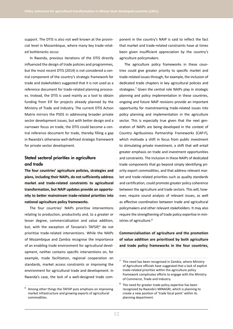support. The DTIS is also not well known at the provincial level in Mozambique, where many key trade-related bottlenecks occur.

In Rwanda, previous iterations of the DTIS directly influenced the design of trade policies and programmes, but the most recent DTIS (2014) is not considered a central component of the country's strategic framework for trade and stakeholders suggested that it is not used as a reference document for trade-related planning processes. Instead, the DTIS is used mainly as a tool to obtain funding from EIF for projects already planned by the Ministry of Trade and Industry. The current DTIS Action Matrix mirrors the PSDS in addressing broader private sector development issues, but with better design and a narrower focus on trade, the DTIS could become a central reference document for trade, thereby filling a gap in Rwanda's otherwise well-defined strategic framework for private sector development.

#### Stated sectoral priorities in agriculture and trade

**The four countries' agriculture policies, strategies and plans, including their NAIPs, do not sufficiently address market and trade-related constraints to agricultural transformation, but NAIP updates provide an opportunity to better mainstream trade-related priorities into national agriculture policy frameworks.**

The four countries' NAIPs prioritise interventions relating to production, productivity and, to a greater or lesser degree, commercialisation and value addition, but, with the exception of Tanzania's TAFSIP,<sup>6</sup> do not prioritise trade-related interventions. While the NAIPs of Mozambique and Zambia recognise the importance of an enabling trade environment for agricultural development, neither contains specific interventions on, for example, trade facilitation, regional cooperation on standards, market access constraints or improving the environment for agricultural trade and development. In Rwanda's case, the lack of a well-designed trade component in the country's NAIP is said to reflect the fact that market and trade-related constraints have at times been given insufficient appreciation by the country's agriculture policymakers.

The agriculture policy frameworks in these countries could give greater priority to specific market and trade-related issues through, for example, the inclusion of dedicated trade chapters in key agricultural policies and strategies.<sup>7</sup> Given the central role NAIPs play in strategic planning and policy implementation in these countries, ongoing and future NAIP revisions provide an important opportunity for mainstreaming trade-related issues into policy planning and implementation in the agriculture sector. This is especially true given that the next generation of NAIPs are being developed in the context of Country Agribusiness Partnership Frameworks (CAP-F), which motivate a shift in focus from public investment to stimulating private investment, a shift that will entail greater emphasis on trade and investment opportunities and constraints. The inclusion in these NAIPs of dedicated trade components that go beyond simply identifying priority export commodities, and that address relevant market and trade-related priorities such as quality standards and certification, could promote greater policy coherence between the agriculture and trade sectors. This will, however, require sound analysis of relevant issues, as well as effective coordination between trade and agricultural policymakers and other relevant stakeholders. It may also require the strengthening of trade policy expertise in ministries of agriculture.<sup>8</sup>

**Commercialisation of agriculture and the promotion of value addition are prioritised by both agriculture and trade policy frameworks in the four countries,** 

Among other things the TAFSIP puts emphasis on improving market infrastructure and growing exports of agricultural commodities.

 $7$  This need has been recognised in Zambia, where Ministry of Agriculture officials have suggested that a lack of explicit trade-related priorities within the agriculture policy framework complicates efforts to engage with the Ministry of Commerce, Trade and Industry.

<sup>8</sup> The need for greater trade policy expertise has been recognized by Rwanda's MINAGRI, which is planning to create a new position of 'trade focal point' within its planning department.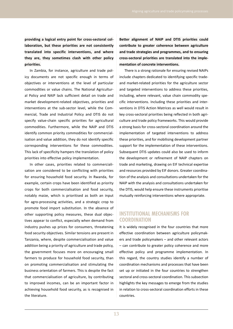**providing a logical entry point for cross-sectoral collaboration, but these priorities are not consistently translated into specific interventions, and where they are, they sometimes clash with other policy priorities.**

In Zambia, for instance, agriculture and trade policy documents are not specific enough in terms of objectives or interventions at the level of particular commodities or value chains. The National Agricultural Policy and NAIP lack sufficient detail on trade and market development-related objectives, priorities and interventions at the sub-sector level, while the Commercial, Trade and Industrial Policy and DTIS do not specify value-chain specific priorities for agricultural commodities. Furthermore, while the NAIP and DTIS identify common priority commodities for commercialisation and value addition, they do not identify specific corresponding interventions for these commodities. This lack of specificity hampers the translation of policy priorities into effective policy implementation.

In other cases, priorities related to commercialisation are considered to be conflicting with priorities for ensuring household food security. In Rwanda, for example, certain crops have been identified as priority crops for both commercialisation and food security, notably maize, which is prioritised as both an input for agro-processing activities, and a strategic crop to promote food import substitution. In the absence of other supporting policy measures, these dual objectives appear to conflict, especially when demand from industry pushes up prices for consumers, threatening food security objectives. Similar tensions are present in Tanzania, where, despite commercialisation and value addition being a priority of agriculture and trade policy, the government focuses more on encouraging small farmers to produce for household food security, than on promoting commercialisation and stimulating the business orientation of farmers. This is despite the fact that commercialisation of agriculture, by contributing to improved incomes, can be an important factor in achieving household food security, as is recognised in the literature.

**Better alignment of NAIP and DTIS priorities could contribute to greater coherence between agriculture and trade strategies and programmes, and to ensuring cross-sectoral priorities are translated into the implementation of concrete interventions.**

There is a strong rationale for ensuring revised NAIPs include chapters dedicated to identifying specific tradeand market-related priorities for the agriculture sector and targeted interventions to address these priorities, including, where relevant, value chain commodity specific interventions. Including these priorities and interventions in DTIS Action Matrices as well would result in key cross-sectoral priorities being reflected in both agriculture and trade policy frameworks. This would provide a strong basis for cross-sectoral coordination around the implementation of targeted interventions to address these priorities, and for mobilising development partner support for the implementation of these interventions. Subsequent DTIS updates could also be used to inform the development or refinement of NAIP chapters on trade and marketing, drawing on EIF technical expertise and resources provided by EIF donors. Greater coordination of the analysis and consultations undertaken for the NAIP with the analysis and consultations undertaken for the DTIS, would help ensure these instruments prioritise mutually reinforcing interventions where appropriate.

#### **INSTITUTIONAL MECHANISMS FOR COORDINATION**

It is widely recognised in the four countries that more effective coordination between agriculture policymakers and trade policymakers – and other relevant actors – can contribute to greater policy coherence and more effective policy and programme implementation. In this regard, the country studies identify a number of coordination mechanisms and processes that have been set up or initiated in the four countries to strengthen sectoral and cross-sectoral coordination. This subsection highlights the key messages to emerge from the studies in relation to cross-sectoral coordination efforts in these countries.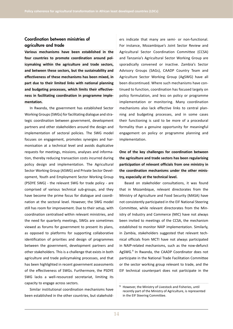#### Coordination between ministries of agriculture and trade

**Various mechanisms have been established in the four countries to promote coordination around policymaking within the agriculture and trade sectors, and between these sectors, but the sustainability and effectiveness of these mechanisms has been mixed, in part due to their limited links with national planning and budgeting processes, which limits their effectiveness in facilitating coordination in programme implementation.**

In Rwanda, the government has established Sector Working Groups (SWGs) for facilitating dialogue and strategic coordination between government, development partners and other stakeholders around the design and implementation of sectoral policies. The SWG model focuses on engagement, promotes synergies and harmonisation at a technical level and avoids duplicative requests for meetings, missions, analyses and information, thereby reducing transaction costs incurred during policy design and implementation. The Agricultural Sector Working Group (ASWG) and Private Sector Development, Youth and Employment Sector Working Group (PSDYE SWG) - the relevant SWG for trade policy - are comprised of various technical sub-groups, and they have become the prime focus for dialogue and coordination at the sectoral level. However, the SWG model still has room for improvement. Due to their setup, with coordination centralised within relevant ministries, and the need for quarterly meetings, SWGs are sometimes viewed as forums for government to present its plans, as opposed to platforms for supporting collaborative identification of priorities and design of programmes between the government, development partners and other stakeholders. This is a challenge that exists in both agriculture and trade policymaking processes, and that has been highlighted in recent government assessments of the effectiveness of SWGs. Furthermore, the PSDYE SWG lacks a well-resourced secretariat, limiting its capacity to engage across sectors.

Similar institutional coordination mechanisms have been established in the other countries, but stakeholders indicate that many are semi- or non-functional. For instance, Mozambique's Joint Sector Review and Agricultural Sector Coordination Committee (CCSA) and Tanzania's Agricultural Sector Working Group are sporadically convened or inactive. Zambia's Sector Advisory Groups (SAGs), CAADP Country Team and Agriculture Sector Working Group (AgSWG) have all been discontinued. Where such mechanisms have continued to function, coordination has focused largely on policy formulation, and less on policy or programme implementation or monitoring. Many coordination mechanisms also lack effective links to central planning and budgeting processes, and in some cases their functioning is said to be more of a procedural formality than a genuine opportunity for meaningful engagement on policy or programme planning and implementation.

**One of the key challenges for coordination between the agriculture and trade sectors has been regularising participation of relevant officials from one ministry in the coordination mechanisms under the other ministry, especially at the technical level.**

Based on stakeholder consultations, it was found that in Mozambique, relevant directorates from the Ministry of Agriculture and Food Security (MASA) have not consistently participated in the EIF National Steering Committee, while relevant directorates from the Ministry of Industry and Commerce (MIC) have not always been invited to meetings of the CCSA, the mechanism established to monitor NAIP implementation. Similarly, in Zambia, stakeholders suggested that relevant technical officials from MCTI have not always participated in NAIP-related mechanisms, such as the now-defunct AgSWG.<sup>9</sup> In Rwanda, the CAADP Coordinator does not participate in the National Trade Facilitation Committee or the sector working group relevant to trade, and the EIF technical counterpart does not participate in the

<sup>9</sup> However, the Ministry of Livestock and Fisheries, until recently part of the Ministry of Agriculture, is represented in the EIF Steering Committee.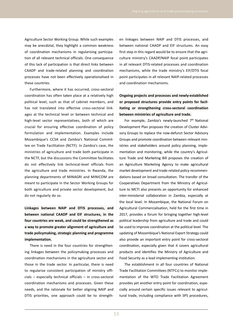Agriculture Sector Working Group. While such examples may be anecdotal, they highlight a common weakness of coordination mechanisms in regularising participation of all relevant technical officials. One consequence of this lack of participation is that direct links between CAADP and trade-related planning and coordination processes have not been effectively operationalised in these countries.

Furthermore, where it has occurred, cross-sectoral coordination has often taken place at a relatively high political level, such as that of cabinet members, and has not translated into effective cross-sectoral linkages at the technical level or between technical and high-level sector representatives, both of which are crucial for ensuring effective coordination of policy formulation and implementation. Examples include Mozambique's CCSA and Zambia's National Committee on Trade Facilitation (NCTF). In Zambia's case, the ministries of agriculture and trade both participate in the NCTF, but the discussions the Committee facilitates do not effectively link technical-level officials from the agriculture and trade ministries. In Rwanda, the planning departments of MINAGRI and MINICOM are meant to participate in the Sector Working Groups for both agriculture and private sector development, but do not regularly do so.

**Linkages between NAIP and DTIS processes, and between national CAADP and EIF structures, in the four countries are weak, and could be strengthened as a way to promote greater alignment of agriculture and trade policymaking, strategic planning and programme implementation.**

There is need in the four countries for strengthening linkages between the policymaking processes and coordination mechanisms in the agriculture sector and those in the trade sector. In particular, there is need to regularise consistent participation of ministry officials – especially technical officials – in cross-sectoral coordination mechanisms and processes. Given these needs, and the rationale for better aligning NAIP and DTIS priorities, one approach could be to strengthen linkages between NAIP and DTIS processes, and between national CAADP and EIF structures. An easy first step in this regard would be to ensure that the agriculture ministry's CAADP/NAIP focal point participates in all relevant DTIS-related processes and coordination mechanisms, while the trade ministry's EIF/DTIS focal point participates in all relevant NAIP-related processes and coordination mechanisms.

**Ongoing projects and processes and newly-established or proposed structures provide entry points for facilitating or strengthening cross-sectoral coordination between ministries of agriculture and trade.** 

For example, Zambia's newly-launched  $7<sup>th</sup>$  National Development Plan proposes the creation of Cluster Advisory Groups to replace the now-defunct Sector Advisory Groups and promote coordination between relevant ministries and stakeholders around policy planning, implementation and monitoring, while the country's Agriculture Trade and Marketing Bill proposes the creation of an Agriculture Marketing Agency to make agricultural market development and trade-related policy recommendations based on broad consultation. The transfer of the Cooperatives Department from the Ministry of Agriculture to MCTI also presents an opportunity for enhanced inter-ministerial collaboration in Zambia, especially at the local level. In Mozambique, the National Forum on Agricultural Commercialisation, held for the first time in 2017, provides a forum for bringing together high-level political leadership from agriculture and trade and could be used to improve coordination at the political level. The updating of Mozambique's National Export Strategy could also provide an important entry point for cross-sectoral coordination, especially given that it covers agricultural products and identifies the Ministry of Agriculture and Food Security as a lead implementing institution.

The establishment in all four countries of National Trade Facilitation Committees (NTFCs) to monitor implementation of the WTO Trade Facilitation Agreement provides yet another entry point for coordination, especially around certain specific issues relevant to agricultural trade, including compliance with SPS procedures,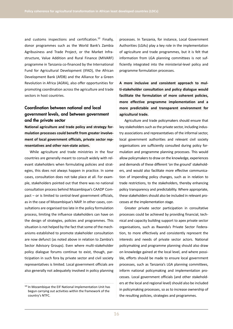and customs inspections and certification. $10$  Finally, donor programmes such as the World Bank's Zambia Agribusiness and Trade Project, or the Market Infrastructure, Value Addition and Rural Finance (MIVARF) programme in Tanzania co-financed by the International Fund for Agricultural Development (IFAD), the African Development Bank (AfDB) and the Alliance for a Green Revolution in Africa (AGRA), also offer opportunities for promoting coordination across the agriculture and trade sectors in host countries.

#### Coordination between national and local government levels, and between government and the private sector

**National agriculture and trade policy and strategy formulation processes could benefit from greater involvement of local government officials, private sector representatives and other non-state actors.** 

While agriculture and trade ministries in the four countries are generally meant to consult widely with relevant stakeholders when formulating policies and strategies, this does not always happen in practice. In some cases, consultation does not take place at all. For example, stakeholders pointed out that there was no national consultation process behind Mozambique's CAADP Compact – or is limited to central-level government officials, as in the case of Mozambique's NAIP. In other cases, consultations are organised too late in the policy formulation process, limiting the influence stakeholders can have on the design of strategies, policies and programmes. This situation is not helped by the fact that some of the mechanisms established to promote stakeholder consultation are now defunct (as noted above in relation to Zambia's Sector Advisory Groups). Even where multi-stakeholder policy dialogue forums continue to exist, though, participation in such fora by private sector and civil society representatives is limited. Local government officials are also generally not adequately involved in policy planning

processes. In Tanzania, for instance, Local Government Authorities (LGAs) play a key role in the implementation of agriculture and trade programmes, but it is felt that information from LGA planning committees is not sufficiently integrated into the ministerial-level policy and programme formulation processes.

**A more inclusive and consistent approach to multi-stakeholder consultation and policy dialogue would facilitate the formulation of more coherent policies, more effective programme implementation and a more predictable and transparent environment for agricultural trade.**

Agriculture and trade policymakers should ensure that key stakeholders such as the private sector, including industry associations and representatives of the informal sector, local government authorities and relevant civil society organisations are sufficiently consulted during policy formulation and programme planning processes. This would allow policymakers to draw on the knowledge, experiences and demands of these different 'on the ground' stakeholders, and would also facilitate more effective communication of impending policy changes, such as in relation to trade restrictions, to the stakeholders, thereby enhancing policy transparency and predictability. Where appropriate, these stakeholders should also be included in relevant processes at the implementation stage.

Greater private sector participation in consultative processes could be achieved by providing financial, technical and capacity building support to apex private sector organisations, such as Rwanda's Private Sector Federation, to more effectively and consistently represent the interests and needs of private sector actors. National policymaking and programme planning should also draw on knowledge gained at the local level, and where possible, efforts should be made to ensure local government processes, such as Tanzania's LGA planning committees, inform national policymaking and implementation processes. Local government officials (and other stakeholders at the local and regional level) should also be included in policymaking processes, so as to increase ownership of the resulting policies, strategies and programmes.

<sup>&</sup>lt;sup>10</sup> In Mozambique the EIF National Implementation Unit has begun carrying out activities within the framework of the country's NTFC.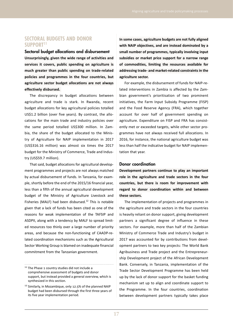#### **SECTORAL BUDGETS AND DONOR SUPPORT11**

Sectoral budget allocations and disbursement **Unsurprisingly, given the wide range of activities and services it covers, public spending on agriculture is much greater than public spending on trade-related policies and programmes in the four countries, but agriculture sector budget allocations are not always effectively disbursed.** 

The discrepancy in budget allocations between agriculture and trade is stark. In Rwanda, recent budget allocations for key agricultural policies totalled US\$1.2 billion (over five years). By contrast, the allocations for the main trade and industry policies over the same period totalled US\$300 million. In Zambia, the share of the budget allocated to the Ministry of Agriculture for NAIP implementation in 2017 (US\$316.16 million) was almost six times the 2017 budget for the Ministry of Commerce, Trade and Industry (US\$59.7 million).

That said, budget allocations for agricultural development programmes and projects are not always matched by actual disbursement of funds. In Tanzania, for example, shortly before the end of the 2015/16 financial year, less than a fifth of the annual agricultural development budget of the Ministry of Agriculture Livestock and Fisheries (MALF) had been disbursed.<sup>12</sup> This is notable given that a lack of funds has been cited as one of the reasons for weak implementation of the TAFSIP and ASDPII, along with a tendency by MALF to spread limited resources too thinly over a large number of priority areas, and because the non-functioning of CAADP-related coordination mechanisms such as the Agricultural Sector Working Group is blamed on inadequate financial commitment from the Tanzanian government.

**In some cases, agriculture budgets are not fully aligned with NAIP objectives, and are instead dominated by a small number of programmes, typically involving input subsidies or market price support for a narrow range of commodities, limiting the resources available for addressing trade- and market-related constraints in the agriculture sector.**

For example, the disbursement of funds for NAIP-related interventions in Zambia is affected by the Zambian government's prioritisation of two prominent initiatives, the Farm Input Subsidy Programme (FISP) and the Food Reserve Agency (FRA), which together account for over half of government spending on agriculture. Expenditure on FISP and FRA has consistently met or exceeded targets, while other sector programmes have not always received full allocations. In 2016, for instance, the national agriculture budget was less than half the indicative budget for NAIP implementation that year.

#### Donor coordination

**Development partners continue to play an important role in the agriculture and trade sectors in the four countries, but there is room for improvement with regard to donor coordination within and between these sectors.**

The implementation of projects and programmes in the agriculture and trade sectors in the four countries is heavily reliant on donor support, giving development partners a significant degree of influence in these sectors. For example, more than half of the Zambian Ministry of Commerce Trade and Industry's budget in 2017 was accounted for by contributions from development partners to two key projects: The World Bank Agribusiness and Trade project and the Entrepreneurship Development project of the African Development Bank. Conversely, in Tanzania, implementation of the Trade Sector Development Programme has been held up by the lack of donor support for the basket funding mechanism set up to align and coordinate support to the Programme. In the four countries, coordination between development partners typically takes place

 $11$  The Phase 1 country studies did not include a comprehensive assessment of budgets and donor support, but instead provided a general overview, which is synthesized in this section.

<sup>&</sup>lt;sup>12</sup> Similarly, in Mozambique, only 12.5% of the planned NAIP budget had been disbursed through the first three years of its five year implementation period.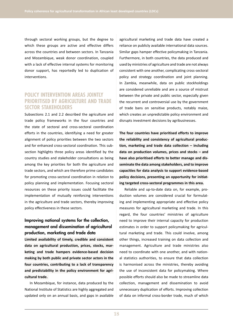through sectoral working groups, but the degree to which these groups are active and effective differs across the countries and between sectors. In Tanzania and Mozambique, weak donor coordination, coupled with a lack of effective internal systems for monitoring donor support, has reportedly led to duplication of interventions.

#### **POLICY INTERVENTION AREAS JOINTLY PRIORITISED BY AGRICULTURE AND TRADE SECTOR STAKEHOLDERS**

Subsections 2.1 and 2.2 described the agriculture and trade policy frameworks in the four countries and the state of sectoral and cross-sectoral coordination efforts in the countries, identifying a need for greater alignment of policy priorities between the two sectors and for enhanced cross-sectoral coordination. This subsection highlights three policy areas identified by the country studies and stakeholder consultations as being among the key priorities for both the agriculture and trade sectors, and which are therefore prime candidates for promoting cross-sectoral coordination in relation to policy planning and implementation. Focusing sectoral resources on these priority issues could facilitate the implementation of mutually reinforcing interventions in the agriculture and trade sectors, thereby improving policy effectiveness in these sectors.

#### Improving national systems for the collection, management and dissemination of agricultural production, marketing and trade data

**Limited availability of timely, credible and consistent data on agricultural production, prices, stocks, marketing and trade hampers evidence-based decision making by both public and private sector actors in the four countries, contributing to a lack of transparency and predictability in the policy environment for agricultural trade.** 

In Mozambique, for instance, data produced by the National Institute of Statistics are highly aggregated and updated only on an annual basis, and gaps in available agricultural marketing and trade data have created a reliance on publicly available international data sources. Similar gaps hamper effective policymaking in Tanzania. Furthermore, in both countries, the data produced and used by ministries of agriculture and trade are not always consistent with one another, complicating cross-sectoral policy and strategy coordination and joint planning. In Zambia, meanwhile, data on public stockholdings are considered unreliable and are a source of mistrust between the private and public sector, especially given the recurrent and controversial use by the government of trade bans on sensitive products, notably maize, which creates an unpredictable policy environment and disrupts investment decisions by agribusinesses.

**The four countries have prioritised efforts to improve the reliability and consistency of agricultural production, marketing and trade data collection – including data on production volumes, prices and stocks – and have also prioritised efforts to better manage and disseminate the data among stakeholders, and to improve capacities for data analysis to support evidence-based policy decisions, presenting an opportunity for initiating targeted cross-sectoral programmes in this area.**

Reliable and up-to-date data on, for example, production volumes are considered crucial for formulating and implementing appropriate and effective policy measures for agricultural marketing and trade. In this regard, the four countries' ministries of agriculture need to improve their internal capacity for production estimates in order to support policymaking for agricultural marketing and trade. This could involve, among other things, increased training on data collection and management. Agriculture and trade ministries also need to coordinate with one another, and with national statistics authorities, to ensure that data collection is harmonised across the ministries, thereby avoiding the use of inconsistent data for policymaking. Where possible efforts should also be made to streamline data collection, management and dissemination to avoid unnecessary duplication of efforts. Improving collection of data on informal cross-border trade, much of which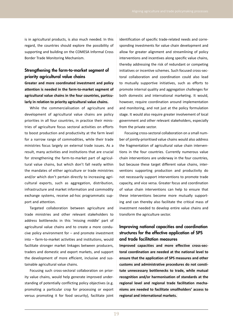is in agricultural products, is also much needed. In this regard, the countries should explore the possibility of supporting and building on the COMESA Informal Cross Border Trade Monitoring Mechanism.

#### Strengthening the farm-to-market segment of priority agricultural value chains

**Greater and more coordinated investment and policy attention is needed in the farm-to-market segment of agricultural value chains in the four countries, particularly in relation to priority agricultural value chains.**

While the commercialisation of agriculture and development of agricultural value chains are policy priorities in all four countries, in practice their ministries of agriculture focus sectoral activities on efforts to boost production and productivity at the farm level for a narrow range of commodities, while their trade ministries focus largely on external trade issues. As a result, many activities and institutions that are crucial for strengthening the farm-to-market part of agricultural value chains, but which don't fall neatly within the mandates of either agriculture or trade ministries and/or which don't pertain directly to increasing agricultural exports, such as aggregation, distribution, infrastructure and market information and commodity exchange systems, receive ad-hoc programmatic support and attention.

Targeted collaboration between agriculture and trade ministries and other relevant stakeholders to address bottlenecks in this 'missing middle' part of agricultural value chains and to create a more conducive policy environment for – and promote investment into – farm-to-market activities and institutions, would facilitate stronger market linkages between producers, traders and domestic and export markets, and support the development of more efficient, inclusive and sustainable agricultural value chains.

Focusing such cross-sectoral collaboration on priority value chains, would help generate improved understanding of potentially conflicting policy objectives (e.g. promoting a particular crop for processing or export versus promoting it for food security), facilitate joint identification of specific trade-related needs and corresponding investments for value chain development and allow for greater alignment and streamlining of policy interventions and incentives along specific value chains, thereby addressing the risk of redundant or competing initiatives or incentive schemes. Such focused cross-sectoral collaboration and coordination could also lead to mutually supportive initiatives, such as efforts to promote internal quality and aggregation challenges for both domestic and international marketing. It would, however, require coordination around implementation and monitoring, and not just at the policy formulation stage. It would also require greater involvement of local government and other relevant stakeholders, especially from the private sector.

Focusing cross-sectoral collaboration on a small number of jointly-prioritised value chains would also address the fragmentation of agricultural value chain interventions in the four countries. Currently numerous value chain interventions are underway in the four countries, but because these target different value chains, interventions supporting production and productivity do not necessarily support interventions to promote trade capacity, and vice versa. Greater focus and coordination of value chain interventions can help to ensure that these interventions become more mutually supporting and can thereby also facilitate the critical mass of investment needed to develop entire value chains and transform the agriculture sector.

#### Improving national capacities and coordination structures for the effective application of SPS and trade facilitation measures

**Improved capacities and more effective cross-sectoral coordination are needed at the national level to ensure that the application of SPS measures and other customs and administrative procedures do not constitute unnecessary bottlenecks to trade, while mutual recognition and/or harmonisation of standards at the regional level and regional trade facilitation mechanisms are needed to facilitate smallholders' access to regional and international markets.**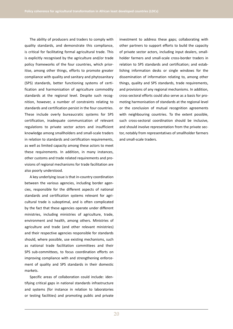The ability of producers and traders to comply with quality standards, and demonstrate this compliance, is critical for facilitating formal agricultural trade. This is explicitly recognised by the agriculture and/or trade policy frameworks of the four countries, which prioritise, among other things, efforts to promote greater compliance with quality and sanitary and phytosanitary (SPS) standards, better functioning systems of certification and harmonisation of agriculture commodity standards at the regional level. Despite such recognition, however, a number of constraints relating to standards and certification persist in the four countries. These include overly bureaucratic systems for SPS certification, inadequate communication of relevant regulations to private sector actors and insufficient knowledge among smallholders and small-scale traders in relation to standards and certification requirements, as well as limited capacity among these actors to meet these requirements. In addition, in many instances, other customs and trade related requirements and provisions of regional mechanisms for trade facilitation are also poorly understood.

A key underlying issue is that in-country coordination between the various agencies, including border agencies, responsible for the different aspects of national standards and certification systems relevant for agricultural trade is suboptimal, and is often complicated by the fact that these agencies operate under different ministries, including ministries of agriculture, trade, environment and health, among others. Ministries of agriculture and trade (and other relevant ministries) and their respective agencies responsible for standards should, where possible, use existing mechanisms, such as national trade facilitation committees and their SPS sub-committees, to focus coordination efforts on improving compliance with and strengthening enforcement of quality and SPS standards in their domestic markets.

Specific areas of collaboration could include: identifying critical gaps in national standards infrastructure and systems (for instance in relation to laboratories or testing facilities) and promoting public and private investment to address these gaps; collaborating with other partners to support efforts to build the capacity of private sector actors, including input dealers, smallholder farmers and small-scale cross-border traders in relation to SPS standards and certification; and establishing information desks or single windows for the dissemination of information relating to, among other things, quality and SPS standards, trade requirements, and provisions of any regional mechanisms. In addition, cross-sectoral efforts could also serve as a basis for promoting harmonisation of standards at the regional level or the conclusion of mutual recognition agreements with neighbouring countries. To the extent possible, such cross-sectoral coordination should be inclusive, and should involve representation from the private sector, notably from representatives of smallholder farmers and small-scale traders.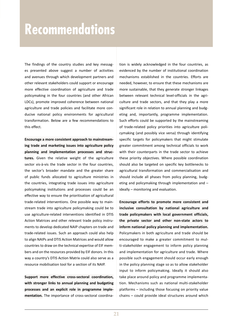## **Recommendations**

The findings of the country studies and key messages presented above suggest a number of activities and avenues through which development partners and other relevant stakeholders could support or encourage more effective coordination of agriculture and trade policymaking in the four countries (and other African LDCs), promote improved coherence between national agriculture and trade policies and facilitate more conducive national policy environments for agricultural transformation. Below are a few recommendations to this effect.

**Encourage a more consistent approach to mainstreaming trade and marketing issues into agriculture policy planning and implementation processes and structures.** Given the relative weight of the agriculture sector vis-à-vis the trade sector in the four countries, the sector's broader mandate and the greater share of public funds allocated to agriculture ministries in the countries, integrating trade issues into agriculture policymaking institutions and processes could be an effective way to ensure the prioritisation of agricultural trade-related interventions. One possible way to mainstream trade into agriculture policymaking could be to use agriculture-related interventions identified in DTIS Action Matrices and other relevant trade policy instruments to develop dedicated NAIP chapters on trade and trade-related issues. Such an approach could also help to align NAIPs and DTIS Action Matrices and would allow countries to draw on the technical expertise of EIF members and on the resources provided by EIF donors. In this way a country's DTIS Action Matrix could also serve as a resource mobilisation tool for a section of its NAIP.

**Support more effective cross-sectoral coordination, with stronger links to annual planning and budgeting processes and an explicit role in programme implementation.** The importance of cross-sectoral coordination is widely acknowledged in the four countries, as evidenced by the number of institutional coordination mechanisms established in the countries. Efforts are needed, however, to ensure that these mechanisms are more sustainable, that they generate stronger linkages between relevant technical level-officials in the agriculture and trade sectors, and that they play a more significant role in relation to annual planning and budgeting and, importantly, programme implementation. Such efforts could be supported by the mainstreaming of trade-related policy priorities into agriculture policymaking (and possibly vice versa) through identifying specific targets for policymakers that might stimulate greater commitment among technical officials to work with their counterparts in the trade sector to achieve these priority objectives. Where possible coordination should also be targeted on specific key bottlenecks to agricultural transformation and commercialisation and should include all phases from policy planning, budgeting and policymaking through implementation and – ideally – monitoring and evaluation.

**Encourage efforts to promote more consistent and inclusive consultation by national agriculture and trade policymakers with local government officials, the private sector and other non-state actors to inform national policy planning and implementation.**  Policymakers in both agriculture and trade should be encouraged to make a greater commitment to multi-stakeholder engagement to inform policy planning and implementation for agriculture and trade. Where possible such engagement should occur early enough in the policy planning stage so as to allow stakeholder input to inform policymaking. Ideally it should also take place around policy and programme implementation. Mechanisms such as national multi-stakeholder platforms – including those focusing on priority value chains – could provide ideal structures around which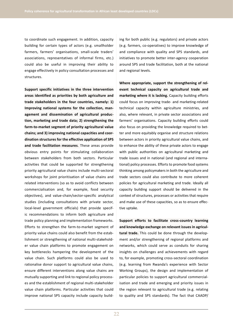to coordinate such engagement. In addition, capacity building for certain types of actors (e.g. smallholder farmers, farmers' organisations, small-scale traders' associations, representatives of informal firms, etc.) could also be useful in improving their ability to engage effectively in policy consultation processes and structures.

**Support specific initiatives in the three intervention areas identified as priorities by both agriculture and trade stakeholders in the four countries, namely: 1) Improving national systems for the collection, management and dissemination of agricultural production, marketing and trade data; 2) strengthening the farm-to-market segment of priority agricultural value chains; and 3) improving national capacities and coordination structures for the effective application of SPS and trade facilitation measures**. These areas provide obvious entry points for stimulating collaboration between stakeholders from both sectors. Particular activities that could be supported for strengthening priority agricultural value chains include multi-sectoral workshops for joint prioritisation of value chains and related interventions (so as to avoid conflicts between commercialisation and, for example, food security objectives), and value-chain/sector-specific analytical studies (including consultations with private sector, local-level government officials) that provide specific recommendations to inform both agriculture and trade policy planning and implementation frameworks. Efforts to strengthen the farm-to-market segment of priority value chains could also benefit from the establishment or strengthening of national multi-stakeholder value chain platforms to promote engagement on key bottlenecks hampering the development of the value chain. Such platforms could also be used to rationalise donor support to agricultural value chains, ensure different interventions along value chains are mutually supporting and link to regional policy processes and the establishment of regional multi-stakeholder value chain platforms. Particular activities that could improve national SPS capacity include capacity building for both public (e.g. regulators) and private actors (e.g. farmers, co-operatives) to improve knowledge of and compliance with quality and SPS standards, and initiatives to promote better inter-agency cooperation around SPS and trade facilitation, both at the national and regional levels.

**Where appropriate, support the strengthening of relevant technical capacity on agricultural trade and marketing where it is lacking.** Capacity building efforts could focus on improving trade- and marketing-related technical capacity within agriculture ministries, and also, where relevant, in private sector associations and farmers' organisations. Capacity building efforts could also focus on providing the knowledge required to better and more equitably organise and structure relations between actors in priority agricultural value chains, and to enhance the ability of these private actors to engage with public authorities on agricultural marketing and trade issues and in national (and regional and international) policy processes. Efforts to promote food systems thinking among policymakers in both the agriculture and trade sectors could also contribute to more coherent policies for agricultural marketing and trade. Ideally all capacity building support should be delivered in the context of structures, processes or activities that require and make use of these capacities, so as to ensure effective uptake.

**Support efforts to facilitate cross-country learning and knowledge exchange on relevant issues in agricultural trade.** This could be done through the development and/or strengthening of regional platforms and networks, which could serve as conduits for sharing insights on challenges and achievements with regard to, for example, promoting cross-sectoral coordination (e.g. learning from Rwanda's experience with Sector Working Groups), the design and implementation of particular policies to support agricultural commercialisation and trade and emerging and priority issues in the region relevant to agricultural trade (e.g. relating to quality and SPS standards). The fact that CAADP/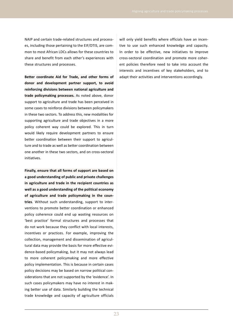NAIP and certain trade-related structures and processes, including those pertaining to the EIF/DTIS, are common to most African LDCs allows for these countries to share and benefit from each other's experiences with these structures and processes.

**Better coordinate Aid for Trade, and other forms of donor and development partner support, to avoid reinforcing divisions between national agriculture and trade policymaking processes.** As noted above, donor support to agriculture and trade has been perceived in some cases to reinforce divisions between policymakers in these two sectors. To address this, new modalities for supporting agriculture and trade objectives in a more policy coherent way could be explored. This in turn would likely require development partners to ensure better coordination between their support to agriculture and to trade as well as better coordination between one another in these two sectors, and on cross-sectoral initiatives.

**Finally, ensure that all forms of support are based on a good understanding of public and private challenges in agriculture and trade in the recipient countries as well as a good understanding of the political economy of agriculture and trade policymaking in the countries**. Without such understanding, support to interventions to promote better coordination or enhanced policy coherence could end up wasting resources on 'best practice' formal structures and processes that do not work because they conflict with local interests, incentives or practices. For example, improving the collection, management and dissemination of agricultural data may provide the basis for more effective evidence-based policymaking, but it may not always lead to more coherent policymaking and more effective policy implementation. This is because in certain cases policy decisions may be based on narrow political considerations that are not supported by the 'evidence'. In such cases policymakers may have no interest in making better use of data. Similarly building the technical trade knowledge and capacity of agriculture officials will only yield benefits where officials have an incentive to use such enhanced knowledge and capacity. In order to be effective, new initiatives to improve cross-sectoral coordination and promote more coherent policies therefore need to take into account the interests and incentives of key stakeholders, and to adapt their activities and interventions accordingly.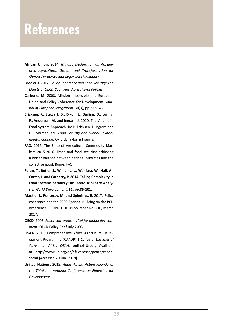## **References**

- **African Union.** 2014. *Malabo Declaration on Accelerated Agricultural Growth and Transformation for Shared Prosperity and Improved Livelihoods***.**
- **Brooks, J.** 2012. *Policy Coherence and Food Security: The Effects of OECD Countries' Agricultural Policies***.**
- **Carbone, M.** 2008. Mission Impossible: the European Union and Policy Coherence for Development**.** *Journal of European Integration,* 30(3), pp.323-342.
- **Ericksen, P., Stewart, B., Dixon, J., Barling, D., Loring, P., Anderson, M. and Ingram, J.** 2010. The Value of a Food System Approach. In: P. Ericksen, J. Ingram and D. Liverman, ed., *Food Security and Global Environmental Change.* Oxford: Taylor & Francis.
- **FAO.** 2015. The State of Agricultural Commodity Markets 2015-2016. Trade and food security: achieving a better balance between national priorities and the collective good. Rome: FAO.
- **Foran, T., Butler, J., Williams, L., Wanjura, W., Hall, A., Carter, L. and Carberry, P. 2014. Taking Complexity in Food Systems Seriously: An Interdisciplinary Analysis.** *World Development***, 61, pp.85-101.**
- **Mackie, J., Ronceray, M. and Spierings, E.** 2017. Policy coherence and the 2030 Agenda: Building on the PCD experience. ECDPM Discussion Paper No. 210, March 2017.
- **OECD.** 2003. *Policy coh erence: Vital for global development.* OECD Policy Brief July 2003.
- **OSAA.** 2015. Comprehensive Africa Agriculture Development Programme (CAADP) | *Office of the Special Adviser on Africa, OSAA.* [online] Un.org. Available at: http://www.un.org/en/africa/osaa/peace/caadp. shtml [Accessed 20 Jun. 2018].
- **United Nations.** 2015. *Addis Ababa Action Agenda of the Third International Conference on Financing for Development.*